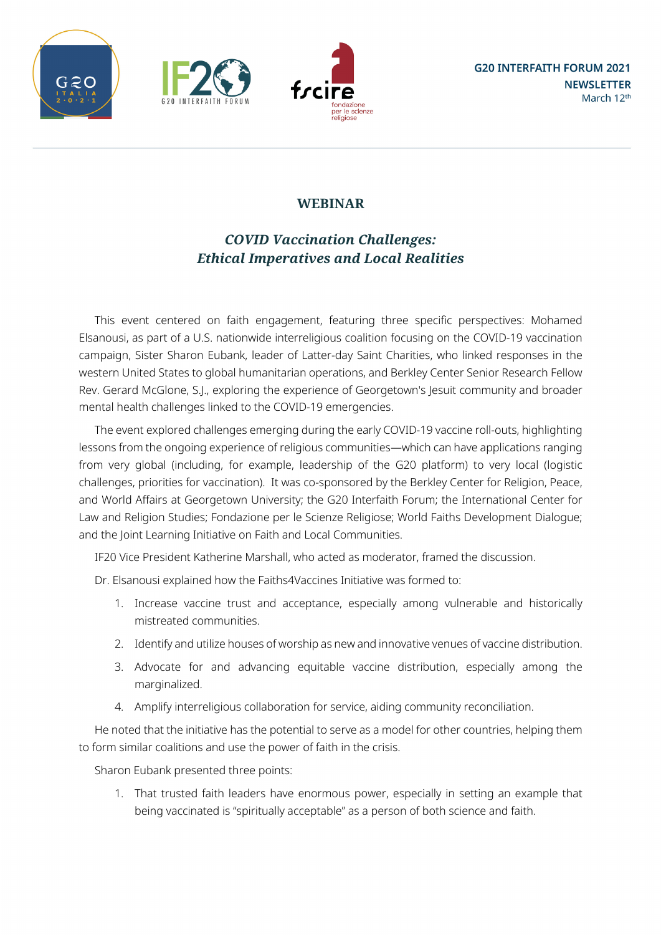





## **WEBINAR**

## *COVID Vaccination Challenges: Ethical Imperatives and Local Realities*

This event centered on faith engagement, featuring three specific perspectives: Mohamed Elsanousi, as part of a U.S. nationwide interreligious coalition focusing on the COVID-19 vaccination campaign, Sister Sharon Eubank, leader of Latter-day Saint Charities, who linked responses in the western United States to global humanitarian operations, and Berkley Center Senior Research Fellow Rev. Gerard McGlone, S.J., exploring the experience of Georgetown's Jesuit community and broader mental health challenges linked to the COVID-19 emergencies.

The event explored challenges emerging during the early COVID-19 vaccine roll-outs, highlighting lessons from the ongoing experience of religious communities—which can have applications ranging from very global (including, for example, leadership of the G20 platform) to very local (logistic challenges, priorities for vaccination). It was co-sponsored by the Berkley Center for Religion, Peace, and World Affairs at Georgetown University; the G20 Interfaith Forum; the International Center for Law and Religion Studies; Fondazione per le Scienze Religiose; World Faiths Development Dialogue; and the Joint Learning Initiative on Faith and Local Communities.

IF20 Vice President Katherine Marshall, who acted as moderator, framed the discussion.

Dr. Elsanousi explained how the Faiths4Vaccines Initiative was formed to:

- 1. Increase vaccine trust and acceptance, especially among vulnerable and historically mistreated communities.
- 2. Identify and utilize houses of worship as new and innovative venues of vaccine distribution.
- 3. Advocate for and advancing equitable vaccine distribution, especially among the marginalized.
- 4. Amplify interreligious collaboration for service, aiding community reconciliation.

He noted that the initiative has the potential to serve as a model for other countries, helping them to form similar coalitions and use the power of faith in the crisis.

Sharon Eubank presented three points:

1. That trusted faith leaders have enormous power, especially in setting an example that being vaccinated is "spiritually acceptable" as a person of both science and faith.